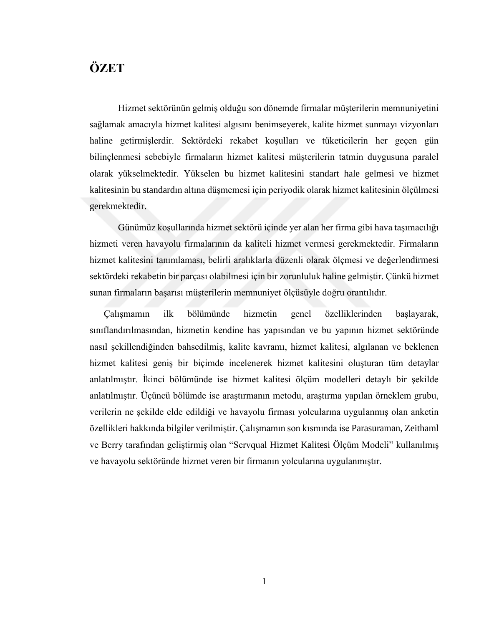## **ÖZET**

Hizmet sektörünün gelmiş olduğu son dönemde firmalar müşterilerin memnuniyetini sağlamak amacıyla hizmet kalitesi algısını benimseyerek, kalite hizmet sunmayı vizyonları haline getirmişlerdir. Sektördeki rekabet koşulları ve tüketicilerin her geçen gün bilinçlenmesi sebebiyle firmaların hizmet kalitesi müşterilerin tatmin duygusuna paralel olarak yükselmektedir. Yükselen bu hizmet kalitesini standart hale gelmesi ve hizmet kalitesinin bu standardın altına düşmemesi için periyodik olarak hizmet kalitesinin ölçülmesi gerekmektedir.

Günümüz koşullarında hizmet sektörü içinde yer alan her firma gibi hava taşımacılığı hizmeti veren havayolu firmalarının da kaliteli hizmet vermesi gerekmektedir. Firmaların hizmet kalitesini tanımlaması, belirli aralıklarla düzenli olarak ölçmesi ve değerlendirmesi sektördeki rekabetin bir parçası olabilmesi için bir zorunluluk haline gelmiştir. Çünkü hizmet sunan firmaların başarısı müşterilerin memnuniyet ölçüsüyle doğru orantılıdır.

Çalışmamın ilk bölümünde hizmetin genel özelliklerinden başlayarak, sınıflandırılmasından, hizmetin kendine has yapısından ve bu yapının hizmet sektöründe nasıl şekillendiğinden bahsedilmiş, kalite kavramı, hizmet kalitesi, algılanan ve beklenen hizmet kalitesi geniş bir biçimde incelenerek hizmet kalitesini oluşturan tüm detaylar anlatılmıştır. İkinci bölümünde ise hizmet kalitesi ölçüm modelleri detaylı bir şekilde anlatılmıştır. Üçüncü bölümde ise araştırmanın metodu, araştırma yapılan örneklem grubu, verilerin ne şekilde elde edildiği ve havayolu firması yolcularına uygulanmış olan anketin özellikleri hakkında bilgiler verilmiştir. Çalışmamın son kısmında ise Parasuraman, Zeithaml ve Berry tarafından geliştirmiş olan "Servqual Hizmet Kalitesi Ölçüm Modeli" kullanılmış ve havayolu sektöründe hizmet veren bir firmanın yolcularına uygulanmıştır.